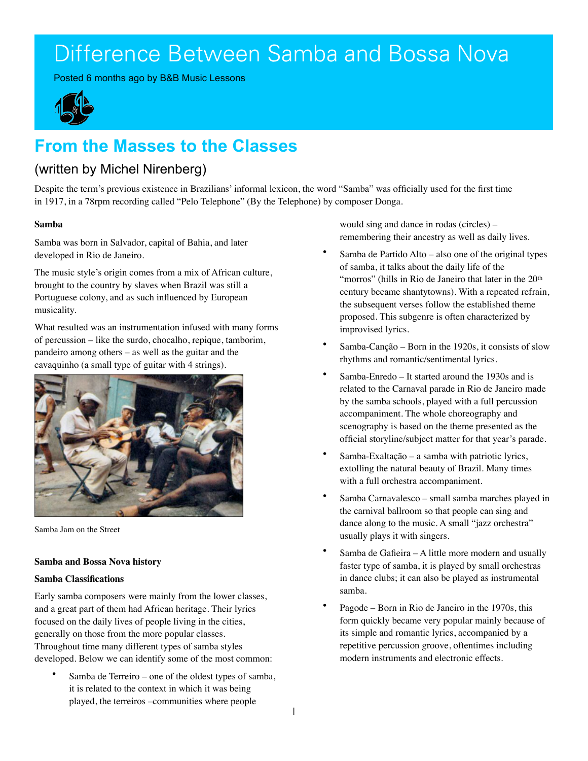# Difference Between Samba and Bossa Nova

Posted 6 months ago by B&B Music Lessons



## **From the Masses to the Classes**

### (written by Michel Nirenberg)

Despite the term's previous existence in Brazilians' informal lexicon, the word "Samba" was officially used for the first time in 1917, in a 78rpm recording called "Pelo Telephone" (By the Telephone) by composer Donga.

#### **Samba**

Samba was born in Salvador, capital of Bahia, and later developed in Rio de Janeiro.

The music style's origin comes from a mix of African culture, brought to the country by slaves when Brazil was still a Portuguese colony, and as such influenced by European musicality.

What resulted was an instrumentation infused with many forms of percussion – like the surdo, chocalho, repique, tamborim, pandeiro among others – as well as the guitar and the cavaquinho (a small type of guitar with 4 strings).



Samba Jam on the Street

#### **Samba and Bossa Nova history**

#### **Samba Classifications**

Early samba composers were mainly from the lower classes, and a great part of them had African heritage. Their lyrics focused on the daily lives of people living in the cities, generally on those from the more popular classes. Throughout time many different types of samba styles developed. Below we can identify some of the most common:

Samba de Terreiro – one of the oldest types of samba, it is related to the context in which it was being played, the terreiros –communities where people

would sing and dance in rodas (circles) – remembering their ancestry as well as daily lives.

- Samba de Partido Alto also one of the original types of samba, it talks about the daily life of the "morros" (hills in Rio de Janeiro that later in the 20<sup>th</sup> century became shantytowns). With a repeated refrain, the subsequent verses follow the established theme proposed. This subgenre is often characterized by improvised lyrics.
- Samba-Canção Born in the 1920s, it consists of slow rhythms and romantic/sentimental lyrics.
- Samba-Enredo It started around the 1930s and is related to the Carnaval parade in Rio de Janeiro made by the samba schools, played with a full percussion accompaniment. The whole choreography and scenography is based on the theme presented as the official storyline/subject matter for that year's parade.
- Samba-Exaltação a samba with patriotic lyrics, extolling the natural beauty of Brazil. Many times with a full orchestra accompaniment.
- Samba Carnavalesco small samba marches played in the carnival ballroom so that people can sing and dance along to the music. A small "jazz orchestra" usually plays it with singers.
- Samba de Gafieira A little more modern and usually faster type of samba, it is played by small orchestras in dance clubs; it can also be played as instrumental samba.
- Pagode Born in Rio de Janeiro in the 1970s, this form quickly became very popular mainly because of its simple and romantic lyrics, accompanied by a repetitive percussion groove, oftentimes including modern instruments and electronic effects.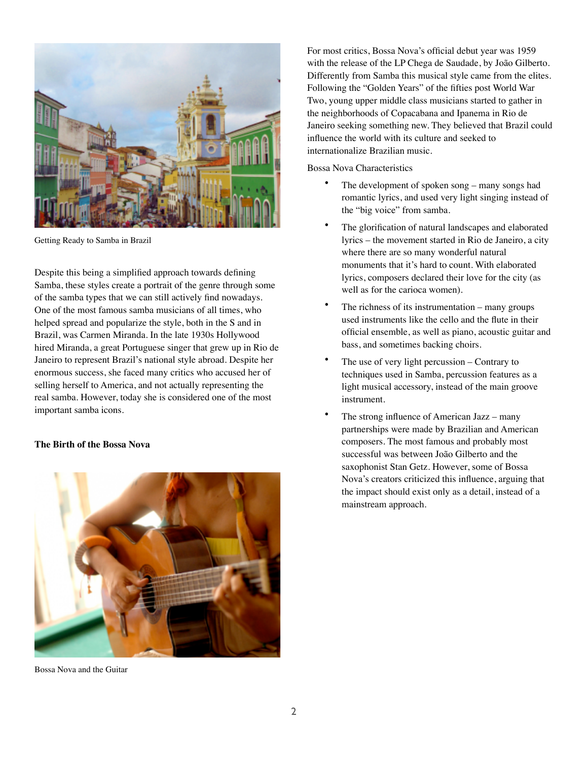

Getting Ready to Samba in Brazil

Despite this being a simplified approach towards defining Samba, these styles create a portrait of the genre through some of the samba types that we can still actively find nowadays. One of the most famous samba musicians of all times, who helped spread and popularize the style, both in the S and in Brazil, was Carmen Miranda. In the late 1930s Hollywood hired Miranda, a great Portuguese singer that grew up in Rio de Janeiro to represent Brazil's national style abroad. Despite her enormous success, she faced many critics who accused her of selling herself to America, and not actually representing the real samba. However, today she is considered one of the most important samba icons.

#### **The Birth of the Bossa Nova**



Bossa Nova and the Guitar

For most critics, Bossa Nova's official debut year was 1959 with the release of the LP Chega de Saudade, by João Gilberto. Differently from Samba this musical style came from the elites. Following the "Golden Years" of the fifties post World War Two, young upper middle class musicians started to gather in the neighborhoods of Copacabana and Ipanema in Rio de Janeiro seeking something new. They believed that Brazil could influence the world with its culture and seeked to internationalize Brazilian music.

Bossa Nova Characteristics

- The development of spoken song many songs had romantic lyrics, and used very light singing instead of the "big voice" from samba.
- The glorification of natural landscapes and elaborated lyrics – the movement started in Rio de Janeiro, a city where there are so many wonderful natural monuments that it's hard to count. With elaborated lyrics, composers declared their love for the city (as well as for the carioca women).
- The richness of its instrumentation  $-$  many groups used instruments like the cello and the flute in their official ensemble, as well as piano, acoustic guitar and bass, and sometimes backing choirs.
- The use of very light percussion Contrary to techniques used in Samba, percussion features as a light musical accessory, instead of the main groove instrument.
- The strong influence of American Jazz many partnerships were made by Brazilian and American composers. The most famous and probably most successful was between João Gilberto and the saxophonist Stan Getz. However, some of Bossa Nova's creators criticized this influence, arguing that the impact should exist only as a detail, instead of a mainstream approach.